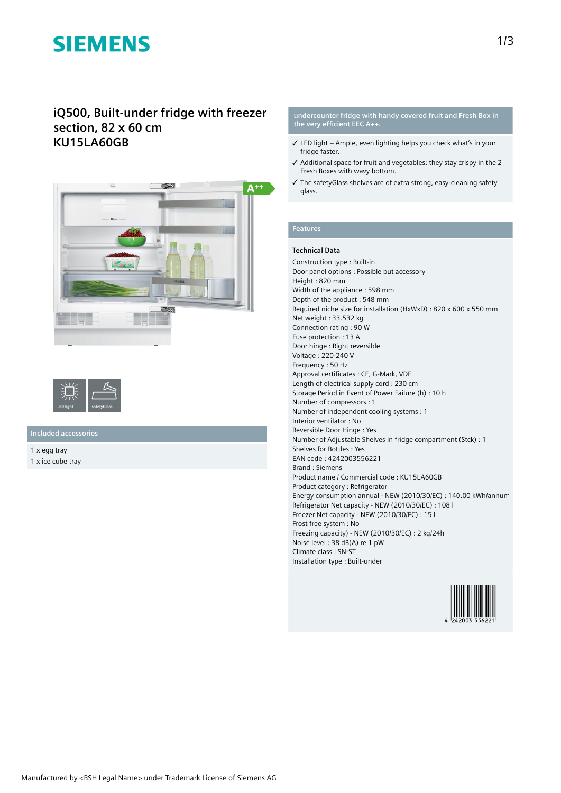# **SIEMENS**

# **iQ500, Built-under fridge with freezer section, 82 x 60 cm KU15LA60GB**





## **Included accessories**

1 x egg tray 1 x ice cube tray

#### **undercounter fridge with handy covered fruit and Fresh Box in the very efficient EEC A++.**

- $\checkmark$  LED light Ample, even lighting helps you check what's in your fridge faster.
- ✓ Additional space for fruit and vegetables: they stay crispy in the 2 Fresh Boxes with wavy bottom.
- ✓ The safetyGlass shelves are of extra strong, easy-cleaning safety glass.

## **Features**

#### **Technical Data**

Construction type : Built-in Door panel options : Possible but accessory Height : 820 mm Width of the appliance : 598 mm Depth of the product : 548 mm Required niche size for installation (HxWxD) : 820 x 600 x 550 mm Net weight : 33.532 kg Connection rating : 90 W Fuse protection : 13 A Door hinge : Right reversible Voltage : 220-240 V Frequency : 50 Hz Approval certificates : CE, G-Mark, VDE Length of electrical supply cord : 230 cm Storage Period in Event of Power Failure (h) : 10 h Number of compressors : 1 Number of independent cooling systems : 1 Interior ventilator : No Reversible Door Hinge : Yes Number of Adjustable Shelves in fridge compartment (Stck) : 1 Shelves for Bottles : Yes EAN code : 4242003556221 Brand : Siemens Product name / Commercial code : KU15LA60GB Product category : Refrigerator Energy consumption annual - NEW (2010/30/EC) : 140.00 kWh/annum Refrigerator Net capacity - NEW (2010/30/EC) : 108 l Freezer Net capacity - NEW (2010/30/EC) : 15 l Frost free system : No Freezing capacity) - NEW (2010/30/EC) : 2 kg/24h Noise level : 38 dB(A) re 1 pW Climate class : SN-ST Installation type : Built-under

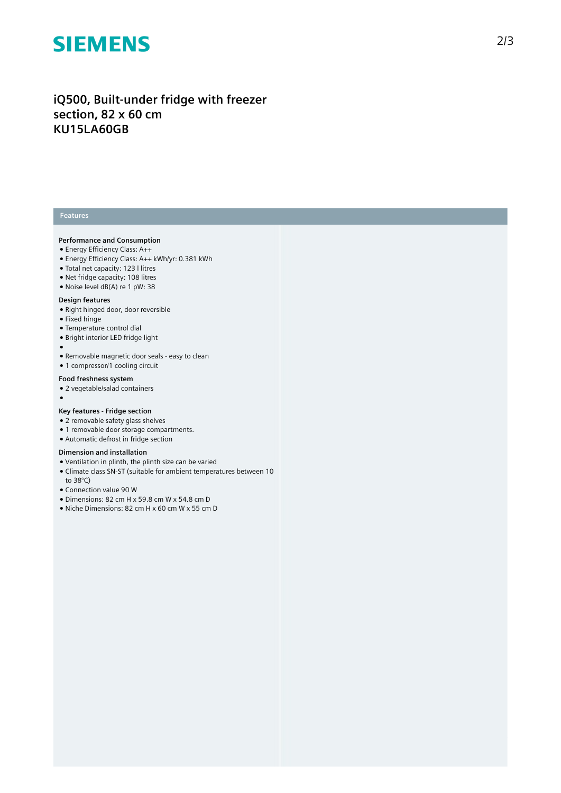# **SIEMENS**

# **iQ500, Built-under fridge with freezer section, 82 x 60 cm KU15LA60GB**

## **Features**

#### **Performance and Consumption**

- Energy Efficiency Class: A++
- Energy Efficiency Class: A++ kWh/yr: 0.381 kWh
- Total net capacity: 123 l litres
- Net fridge capacity: 108 litres
- Noise level dB(A) re 1 pW: 38

#### **Design features**

- Right hinged door, door reversible
- Fixed hinge
- Temperature control dial
- Bright interior LED fridge light
- ●
- Removable magnetic door seals easy to clean
- 1 compressor/1 cooling circuit

### **Food freshness system**

● 2 vegetable/salad containers

## ●

### **Key features - Fridge section**

- 2 removable safety glass shelves
- 1 removable door storage compartments.
- Automatic defrost in fridge section

#### **Dimension and installation**

- Ventilation in plinth, the plinth size can be varied
- Climate class SN-ST (suitable for ambient temperatures between 10
- to 38°C)
- Connection value 90 W
- Dimensions: 82 cm H x 59.8 cm W x 54.8 cm D
- Niche Dimensions: 82 cm H x 60 cm W x 55 cm D